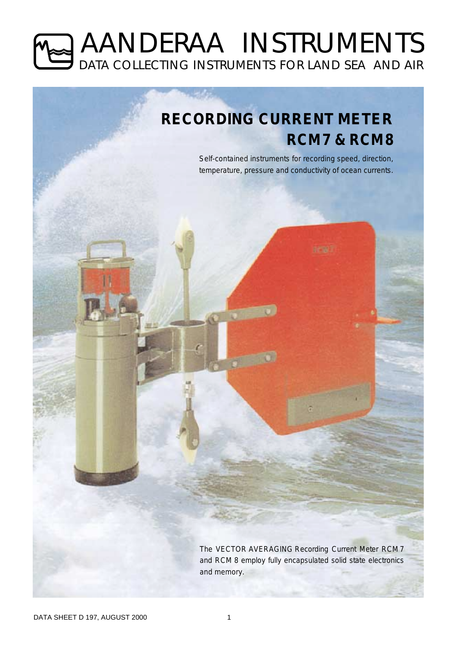# AANDERAA INSTRUMENTS DATA COLLECTING INSTRUMENTS FOR LAND SEA AND AIR

# **RECORDING CURRENT METER RCM7 & RCM8**

*Self-contained instruments for recording speed, direction, temperature, pressure and conductivity of ocean currents.*

re w T

*The VECTOR AVERAGING Recording Current Meter RCM 7 and RCM 8 employ fully encapsulated solid state electronics and memory.*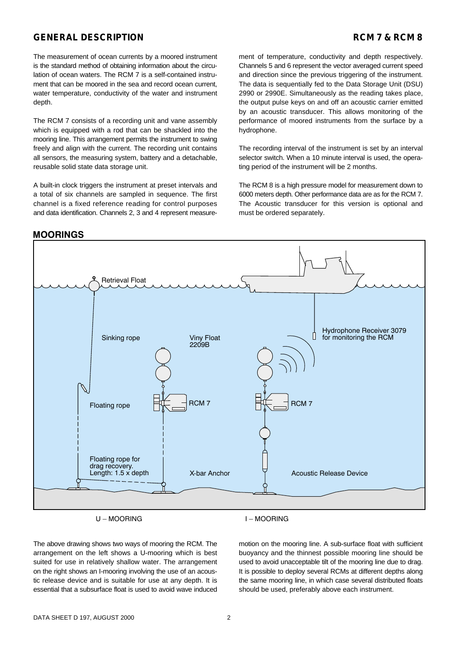# **GENERAL DESCRIPTION RCM 7 & RCM 8**

The measurement of ocean currents by a moored instrument is the standard method of obtaining information about the circulation of ocean waters. The RCM 7 is a self-contained instrument that can be moored in the sea and record ocean current, water temperature, conductivity of the water and instrument depth.

The RCM 7 consists of a recording unit and vane assembly which is equipped with a rod that can be shackled into the mooring line. This arrangement permits the instrument to swing freely and align with the current. The recording unit contains all sensors, the measuring system, battery and a detachable, reusable solid state data storage unit.

A built-in clock triggers the instrument at preset intervals and a total of six channels are sampled in sequence. The first channel is a fixed reference reading for control purposes and data identification. Channels 2, 3 and 4 represent measurement of temperature, conductivity and depth respectively. Channels 5 and 6 represent the vector averaged current speed and direction since the previous triggering of the instrument. The data is sequentially fed to the Data Storage Unit (DSU) 2990 or 2990E. Simultaneously as the reading takes place, the output pulse keys on and off an acoustic carrier emitted by an acoustic transducer. This allows monitoring of the performance of moored instruments from the surface by a hydrophone.

The recording interval of the instrument is set by an interval selector switch. When a 10 minute interval is used, the operating period of the instrument will be 2 months.

The RCM 8 is a high pressure model for measurement down to 6000 meters depth. Other performance data are as for the RCM 7. The Acoustic transducer for this version is optional and must be ordered separately.



 $U-MOORING$ 

The above drawing shows two ways of mooring the RCM. The arrangement on the left shows a U-mooring which is best suited for use in relatively shallow water. The arrangement on the right shows an I-mooring involving the use of an acoustic release device and is suitable for use at any depth. It is essential that a subsurface float is used to avoid wave induced

motion on the mooring line. A sub-surface float with sufficient buoyancy and the thinnest possible mooring line should be used to avoid unacceptable tilt of the mooring line due to drag. It is possible to deploy several RCMs at different depths along the same mooring line, in which case several distributed floats should be used, preferably above each instrument.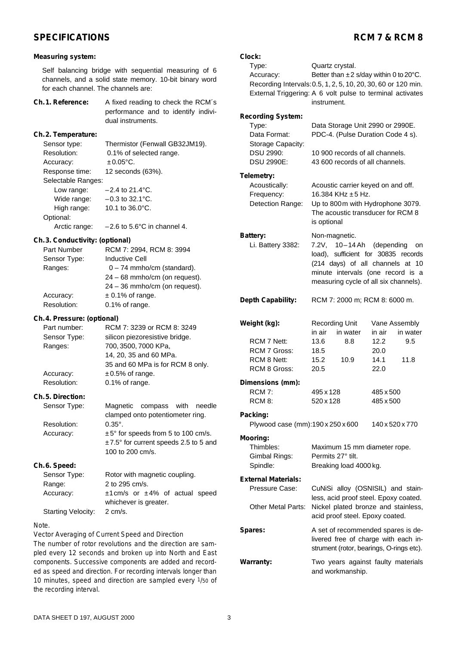# SPECIFICATIONS RCM 7 & RCM 8

strument (rotor, bearings, O-rings etc).

**Warranty:** Two years against faulty materials and workmanship.

| Measuring system:                                                                                                                                     |                                                                                                                                                                             | Clock:                                                                                                                                           |                                                                                                                                                      |                                                                                                                                                                                       |
|-------------------------------------------------------------------------------------------------------------------------------------------------------|-----------------------------------------------------------------------------------------------------------------------------------------------------------------------------|--------------------------------------------------------------------------------------------------------------------------------------------------|------------------------------------------------------------------------------------------------------------------------------------------------------|---------------------------------------------------------------------------------------------------------------------------------------------------------------------------------------|
| Self balancing bridge with sequential measuring of 6<br>channels, and a solid state memory. 10-bit binary word<br>for each channel. The channels are: |                                                                                                                                                                             | Type:<br>Accuracy:<br>Recording Intervals: 0.5, 1, 2, 5, 10, 20, 30, 60 or 120 min.<br>External Triggering: A 6 volt pulse to terminal activates | Quartz crystal.<br>Better than $\pm 2$ s/day within 0 to 20°C.                                                                                       |                                                                                                                                                                                       |
| Ch. 1. Reference:                                                                                                                                     | A fixed reading to check the RCM's<br>performance and to identify indivi-<br>dual instruments.                                                                              | Recording System:<br>Type:                                                                                                                       | instrument.<br>Data Storage Unit 2990 or 2990E.                                                                                                      |                                                                                                                                                                                       |
| Ch.2. Temperature:                                                                                                                                    |                                                                                                                                                                             | Data Format:                                                                                                                                     | PDC-4. (Pulse Duration Code 4 s).                                                                                                                    |                                                                                                                                                                                       |
| Sensor type:<br>Resolution:<br>Accuracy:<br>Response time:                                                                                            | Thermistor (Fenwall GB32JM19).<br>0.1% of selected range.<br>$±0.05$ °C.<br>12 seconds (63%).                                                                               | Storage Capacity:<br>DSU 2990:<br><b>DSU 2990E:</b>                                                                                              | 10 900 records of all channels.<br>43 600 records of all channels.                                                                                   |                                                                                                                                                                                       |
| Selectable Ranges:                                                                                                                                    |                                                                                                                                                                             | Telemetry:                                                                                                                                       |                                                                                                                                                      |                                                                                                                                                                                       |
| Low range:<br>Wide range:<br>High range:<br>Optional:<br>Arctic range:                                                                                | $-2.4$ to 21.4 $^{\circ}$ C.<br>$-0.3$ to 32.1 $^{\circ}$ C.<br>10.1 to 36.0°C.<br>$-2.6$ to 5.6°C in channel 4.                                                            | Acoustically:<br>Frequency:<br>Detection Range:                                                                                                  | Acoustic carrier keyed on and off.<br>16.384 KHz ±5 Hz.<br>Up to 800m with Hydrophone 3079.<br>The acoustic transducer for RCM 8<br>is optional      |                                                                                                                                                                                       |
| Ch. 3. Conductivity: (optional)                                                                                                                       |                                                                                                                                                                             | Battery:                                                                                                                                         | Non-magnetic.                                                                                                                                        |                                                                                                                                                                                       |
| Part Number<br>Sensor Type:<br>Ranges:                                                                                                                | RCM 7: 2994, RCM 8: 3994<br><b>Inductive Cell</b><br>$0 - 74$ mmho/cm (standard).<br>24 - 68 mmho/cm (on request).<br>24 - 36 mmho/cm (on request).                         | Li. Battery 3382:                                                                                                                                |                                                                                                                                                      | 7.2V, 10-14 Ah (depending on<br>load), sufficient for 30835 records<br>(214 days) of all channels at 10<br>minute intervals (one record is a<br>measuring cycle of all six channels). |
| Accuracy:<br>Resolution:                                                                                                                              | $± 0.1\%$ of range.<br>0.1% of range.                                                                                                                                       | Depth Capability:                                                                                                                                | RCM 7: 2000 m; RCM 8: 6000 m.                                                                                                                        |                                                                                                                                                                                       |
| Ch. 4. Pressure: (optional)<br>Part number:<br>Sensor Type:<br>Ranges:<br>Accuracy:                                                                   | RCM 7: 3239 or RCM 8: 3249<br>silicon piezoresistive bridge.<br>700, 3500, 7000 KPa,<br>14, 20, 35 and 60 MPa.<br>35 and 60 MPa is for RCM 8 only.<br>$\pm 0.5\%$ of range. | Weight (kg):<br>RCM 7 Nett:<br><b>RCM 7 Gross:</b><br>RCM 8 Nett:<br>RCM 8 Gross:                                                                | <b>Recording Unit</b><br>in air<br>in water<br>13.6<br>8.8<br>18.5<br>15.2<br>10.9<br>20.5                                                           | Vane Assembly<br>in air<br>in water<br>12.2<br>9.5<br>20.0<br>14.1<br>11.8<br>22.0                                                                                                    |
| Resolution:                                                                                                                                           | 0.1% of range.                                                                                                                                                              | Dimensions (mm):                                                                                                                                 |                                                                                                                                                      |                                                                                                                                                                                       |
| Ch.5. Direction:<br>Sensor Type:                                                                                                                      | Magnetic compass with needle                                                                                                                                                | RCM 7:<br>RCM 8:                                                                                                                                 | 495 x 128<br>520 x 128                                                                                                                               | 485 x 500<br>485 x 500                                                                                                                                                                |
| Resolution:                                                                                                                                           | clamped onto potentiometer ring.<br>$0.35^{\circ}$ .                                                                                                                        | Packing:<br>Plywood case (mm):190 x 250 x 600                                                                                                    |                                                                                                                                                      | 140 x 520 x 770                                                                                                                                                                       |
| Accuracy:                                                                                                                                             | ±5° for speeds from 5 to 100 cm/s.<br>±7.5° for current speeds 2.5 to 5 and<br>100 to 200 cm/s.                                                                             | Mooring:<br>Thimbles:<br>Gimbal Rings:                                                                                                           | Maximum 15 mm diameter rope.<br>Permits 27° tilt.                                                                                                    |                                                                                                                                                                                       |
| Ch.6. Speed:                                                                                                                                          |                                                                                                                                                                             | Spindle:                                                                                                                                         | Breaking load 4000 kg.                                                                                                                               |                                                                                                                                                                                       |
| Sensor Type:<br>Range:<br>Accuracy:                                                                                                                   | Rotor with magnetic coupling.<br>2 to 295 cm/s.<br>$±1$ cm/s or $±4\%$ of actual speed<br>whichever is greater.                                                             | <b>External Materials:</b><br>Pressure Case:<br>Other Metal Parts:                                                                               | CuNiSi alloy (OSNISIL) and stain-<br>less, acid proof steel. Epoxy coated.<br>Nickel plated bronze and stainless,<br>acid proof steel. Epoxy coated. |                                                                                                                                                                                       |
| <b>Starting Velocity:</b>                                                                                                                             | $2 \, \text{cm/s}.$                                                                                                                                                         |                                                                                                                                                  |                                                                                                                                                      |                                                                                                                                                                                       |
| Note.<br>Vector Averaging of Current Speed and Direction<br>cumber of rotar rough tions and the direction                                             |                                                                                                                                                                             | Spares:                                                                                                                                          | A set of recommended spares is de-<br>livered free of charge with each in-                                                                           |                                                                                                                                                                                       |

*Vector Averaging of Current Speed and Direction The number of rotor revolutions and the direction are sampled every 12 seconds and broken up into North and East components. Successive components are added and recorded as speed and direction. For recording intervals longer than 10 minutes, speed and direction are sampled every 1/50 of the recording interval.*